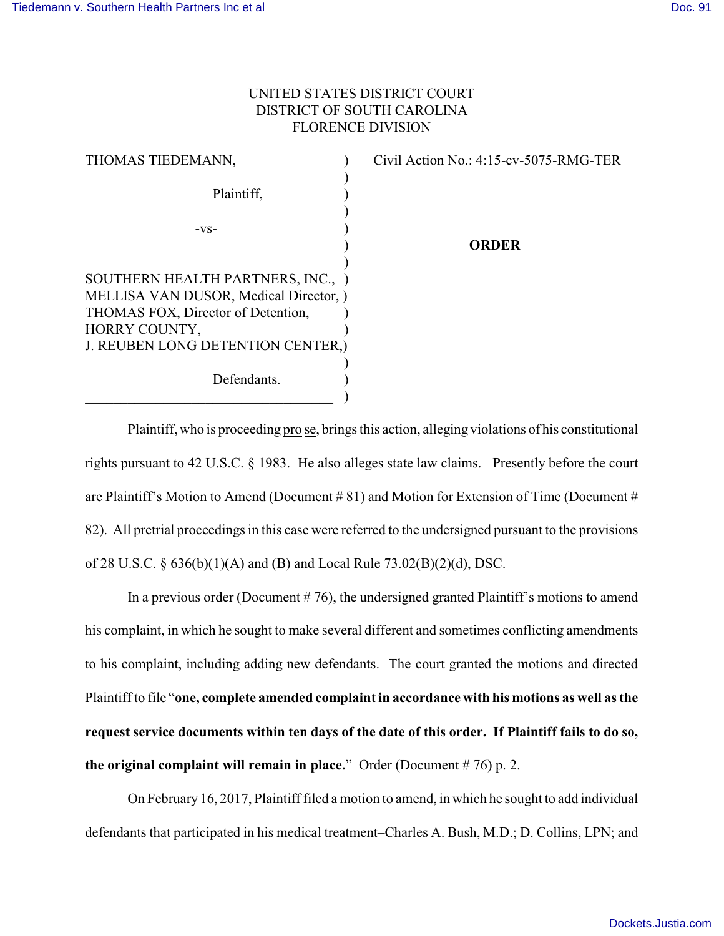## UNITED STATES DISTRICT COURT DISTRICT OF SOUTH CAROLINA FLORENCE DIVISION

| THOMAS TIEDEMANN,                                  | Civil Action No.: $4:15$ -cv-5075-RMG-TER |
|----------------------------------------------------|-------------------------------------------|
| Plaintiff,                                         |                                           |
| $-VS-$                                             |                                           |
|                                                    | <b>ORDER</b>                              |
| SOUTHERN HEALTH PARTNERS, INC., )                  |                                           |
| MELLISA VAN DUSOR, Medical Director, )             |                                           |
| THOMAS FOX, Director of Detention,                 |                                           |
| HORRY COUNTY,<br>J. REUBEN LONG DETENTION CENTER,) |                                           |
| Defendants.                                        |                                           |
|                                                    |                                           |

Plaintiff, who is proceeding pro se, brings this action, alleging violations of his constitutional rights pursuant to 42 U.S.C. § 1983. He also alleges state law claims. Presently before the court are Plaintiff's Motion to Amend (Document # 81) and Motion for Extension of Time (Document # 82). All pretrial proceedings in this case were referred to the undersigned pursuant to the provisions of 28 U.S.C. § 636(b)(1)(A) and (B) and Local Rule 73.02(B)(2)(d), DSC.

In a previous order (Document # 76), the undersigned granted Plaintiff's motions to amend his complaint, in which he sought to make several different and sometimes conflicting amendments to his complaint, including adding new defendants. The court granted the motions and directed Plaintiff to file "**one, complete amended complaint in accordance with his motions as well as the request service documents within ten days of the date of this order. If Plaintiff fails to do so, the original complaint will remain in place.**" Order (Document # 76) p. 2.

On February 16, 2017, Plaintiff filed a motion to amend, in which he sought to add individual defendants that participated in his medical treatment–Charles A. Bush, M.D.; D. Collins, LPN; and